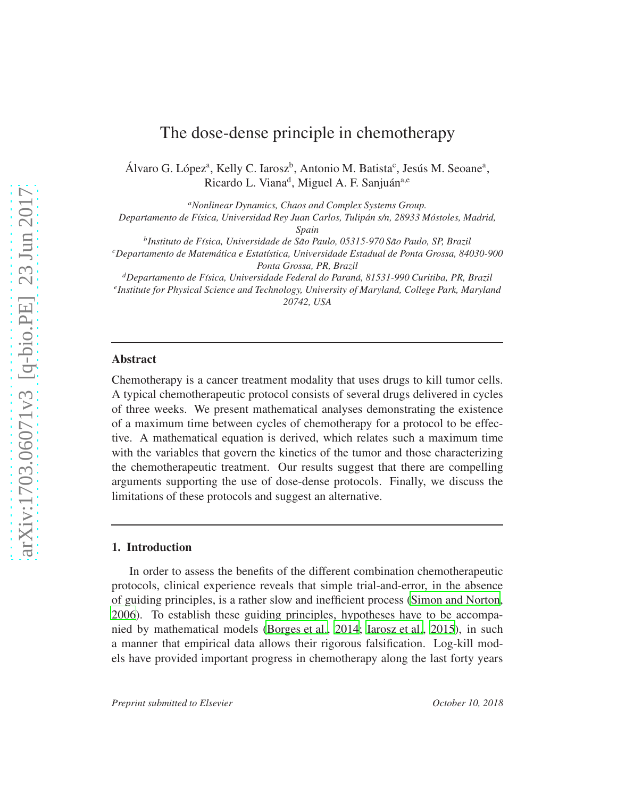# The dose-dense principle in chemotherapy

Álvaro G. López<sup>a</sup>, Kelly C. Iarosz<sup>b</sup>, Antonio M. Batista<sup>c</sup>, Jesús M. Seoane<sup>a</sup>, Ricardo L. Viana<sup>d</sup>, Miguel A. F. Sanjuán<sup>a,e</sup>

*<sup>a</sup>Nonlinear Dynamics, Chaos and Complex Systems Group. Departamento de F´ısica, Universidad Rey Juan Carlos, Tulipan s/n, 28933 M ´ ostoles, Madrid, ´ Spain b Instituto de F´ısica, Universidade de Sao Paulo, 05315-970 S ˜ ao Paulo, SP, Brazil ˜ <sup>c</sup>Departamento de Matematica e Estat ´ ´ıstica, Universidade Estadual de Ponta Grossa, 84030-900 Ponta Grossa, PR, Brazil <sup>d</sup>Departamento de F´ısica, Universidade Federal do Parana, 81531-990 Curitiba, PR, Brazil ´ e Institute for Physical Science and Technology, University of Maryland, College Park, Maryland*

*20742, USA*

# Abstract

Chemotherapy is a cancer treatment modality that uses drugs to kill tumor cells. A typical chemotherapeutic protocol consists of several drugs delivered in cycles of three weeks. We present mathematical analyses demonstrating the existence of a maximum time between cycles of chemotherapy for a protocol to be effective. A mathematical equation is derived, which relates such a maximum time with the variables that govern the kinetics of the tumor and those characterizing the chemotherapeutic treatment. Our results suggest that there are compelling arguments supporting the use of dose-dense protocols. Finally, we discuss the limitations of these protocols and suggest an alternative.

# 1. Introduction

In order to assess the benefits of the different combination chemotherapeutic protocols, clinical experience reveals that simple trial-and-error, in the absence of guiding principles, is a rather slow and inefficient process [\(Simon and Norton](#page-20-0), [2006\)](#page-20-0). To establish these guiding principles, hypotheses have to be accompanied by mathematical models [\(Borges et al., 2014;](#page-18-0) [Iarosz et al., 2015\)](#page-20-1), in such a manner that empirical data allows their rigorous falsification. Log-kill models have provided important progress in chemotherapy along the last forty years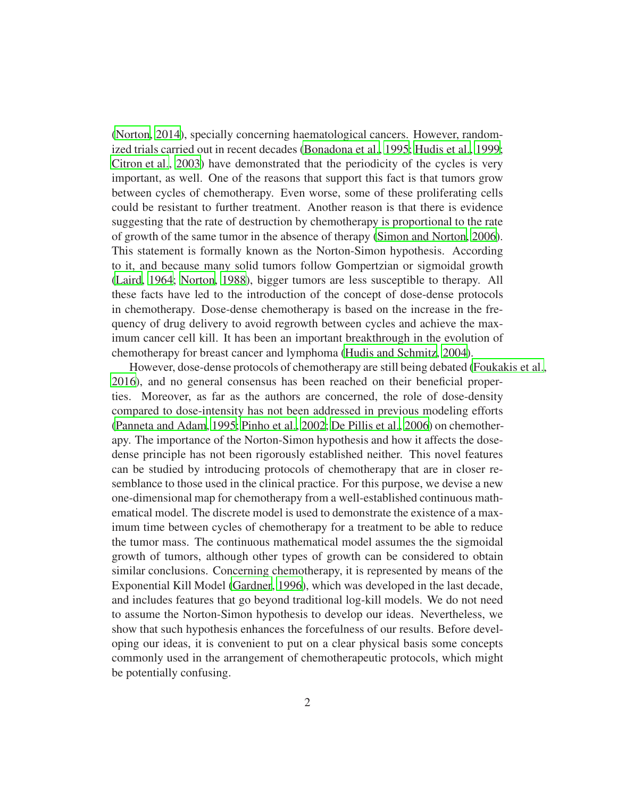[\(Norton, 2014\)](#page-20-2), specially concerning haematological cancers. However, randomized trials carried out in recent decades [\(Bonadona et al.](#page-18-1), [1995;](#page-18-1) [Hudis et al., 1999](#page-19-0); [Citron et al., 2003\)](#page-19-1) have demonstrated that the periodicity of the cycles is very important, as well. One of the reasons that support this fact is that tumors grow between cycles of chemotherapy. Even worse, some of these proliferating cells could be resistant to further treatment. Another reason is that there is evidence suggesting that the rate of destruction by chemotherapy is proportional to the rate of growth of the same tumor in the absence of therapy [\(Simon and Norton, 2006](#page-20-0)). This statement is formally known as the Norton-Simon hypothesis. According to it, and because many solid tumors follow Gompertzian or sigmoidal growth [\(Laird, 1964;](#page-20-3) [Norton](#page-20-4), [1988](#page-20-4)), bigger tumors are less susceptible to therapy. All these facts have led to the introduction of the concept of dose-dense protocols in chemotherapy. Dose-dense chemotherapy is based on the increase in the frequency of drug delivery to avoid regrowth between cycles and achieve the maximum cancer cell kill. It has been an important breakthrough in the evolution of chemotherapy for breast cancer and lymphoma [\(Hudis and Schmitz, 2004](#page-20-5)).

However, dose-dense protocols of chemotherapy are still being debated [\(Foukakis et al.,](#page-19-2) [2016\)](#page-19-2), and no general consensus has been reached on their beneficial properties. Moreover, as far as the authors are concerned, the role of dose-density compared to dose-intensity has not been addressed in previous modeling efforts [\(Panneta and Adam, 1995](#page-20-6); [Pinho et al., 2002](#page-20-7); [De Pillis et al.](#page-19-3), [2006\)](#page-19-3) on chemotherapy. The importance of the Norton-Simon hypothesis and how it affects the dosedense principle has not been rigorously established neither. This novel features can be studied by introducing protocols of chemotherapy that are in closer resemblance to those used in the clinical practice. For this purpose, we devise a new one-dimensional map for chemotherapy from a well-established continuous mathematical model. The discrete model is used to demonstrate the existence of a maximum time between cycles of chemotherapy for a treatment to be able to reduce the tumor mass. The continuous mathematical model assumes the the sigmoidal growth of tumors, although other types of growth can be considered to obtain similar conclusions. Concerning chemotherapy, it is represented by means of the Exponential Kill Model [\(Gardner](#page-19-4), [1996\)](#page-19-4), which was developed in the last decade, and includes features that go beyond traditional log-kill models. We do not need to assume the Norton-Simon hypothesis to develop our ideas. Nevertheless, we show that such hypothesis enhances the forcefulness of our results. Before developing our ideas, it is convenient to put on a clear physical basis some concepts commonly used in the arrangement of chemotherapeutic protocols, which might be potentially confusing.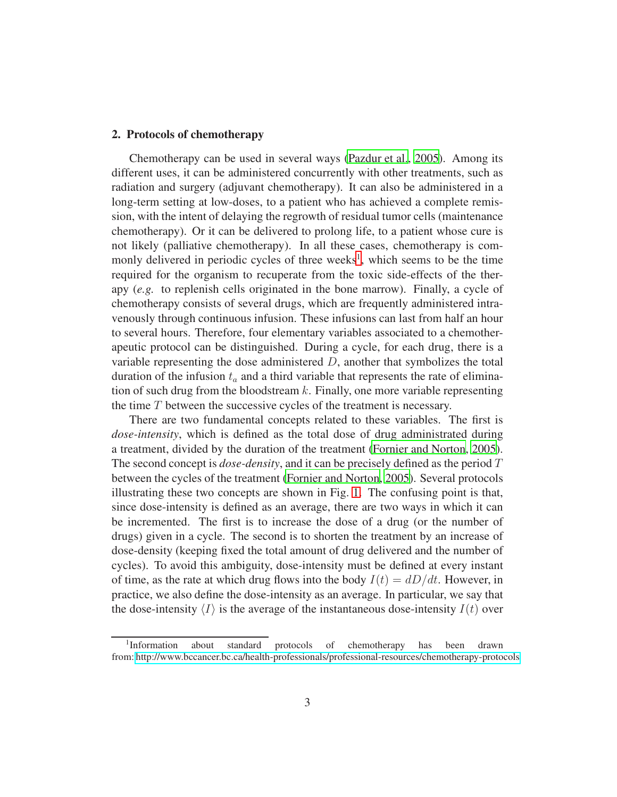## 2. Protocols of chemotherapy

Chemotherapy can be used in several ways [\(Pazdur et al.](#page-20-8), [2005\)](#page-20-8). Among its different uses, it can be administered concurrently with other treatments, such as radiation and surgery (adjuvant chemotherapy). It can also be administered in a long-term setting at low-doses, to a patient who has achieved a complete remission, with the intent of delaying the regrowth of residual tumor cells (maintenance chemotherapy). Or it can be delivered to prolong life, to a patient whose cure is not likely (palliative chemotherapy). In all these cases, chemotherapy is com-monly delivered in periodic cycles of three weeks<sup>[1](#page-2-0)</sup>, which seems to be the time required for the organism to recuperate from the toxic side-effects of the therapy (*e.g.* to replenish cells originated in the bone marrow). Finally, a cycle of chemotherapy consists of several drugs, which are frequently administered intravenously through continuous infusion. These infusions can last from half an hour to several hours. Therefore, four elementary variables associated to a chemotherapeutic protocol can be distinguished. During a cycle, for each drug, there is a variable representing the dose administered  $D$ , another that symbolizes the total duration of the infusion  $t_a$  and a third variable that represents the rate of elimination of such drug from the bloodstream  $k$ . Finally, one more variable representing the time T between the successive cycles of the treatment is necessary.

There are two fundamental concepts related to these variables. The first is *dose-intensity*, which is defined as the total dose of drug administrated during a treatment, divided by the duration of the treatment [\(Fornier and Norton](#page-19-5), [2005](#page-19-5)). The second concept is *dose-density*, and it can be precisely defined as the period T between the cycles of the treatment [\(Fornier and Norton, 2005](#page-19-5)). Several protocols illustrating these two concepts are shown in Fig. [1.](#page-3-0) The confusing point is that, since dose-intensity is defined as an average, there are two ways in which it can be incremented. The first is to increase the dose of a drug (or the number of drugs) given in a cycle. The second is to shorten the treatment by an increase of dose-density (keeping fixed the total amount of drug delivered and the number of cycles). To avoid this ambiguity, dose-intensity must be defined at every instant of time, as the rate at which drug flows into the body  $I(t) = dD/dt$ . However, in practice, we also define the dose-intensity as an average. In particular, we say that the dose-intensity  $\langle I \rangle$  is the average of the instantaneous dose-intensity  $I(t)$  over

<span id="page-2-0"></span><sup>&</sup>lt;sup>1</sup>Information about standard protocols of chemotherapy has been drawn from: [http://www.bccancer.bc.ca/health-professionals/professional-resources/chemotherapy-protocols.](http://www.bccancer.bc.ca/health-professionals/professional-resources/chemotherapy-protocols)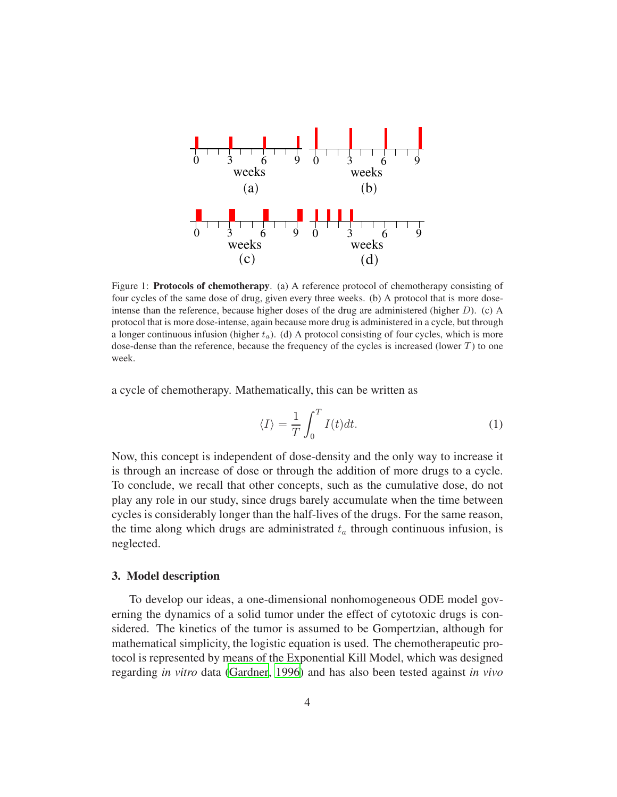

<span id="page-3-0"></span>Figure 1: Protocols of chemotherapy. (a) A reference protocol of chemotherapy consisting of four cycles of the same dose of drug, given every three weeks. (b) A protocol that is more doseintense than the reference, because higher doses of the drug are administered (higher  $D$ ). (c) A protocol that is more dose-intense, again because more drug is administered in a cycle, but through a longer continuous infusion (higher  $t_a$ ). (d) A protocol consisting of four cycles, which is more dose-dense than the reference, because the frequency of the cycles is increased (lower  $T$ ) to one week.

a cycle of chemotherapy. Mathematically, this can be written as

<span id="page-3-1"></span>
$$
\langle I \rangle = \frac{1}{T} \int_0^T I(t) dt.
$$
 (1)

Now, this concept is independent of dose-density and the only way to increase it is through an increase of dose or through the addition of more drugs to a cycle. To conclude, we recall that other concepts, such as the cumulative dose, do not play any role in our study, since drugs barely accumulate when the time between cycles is considerably longer than the half-lives of the drugs. For the same reason, the time along which drugs are administrated  $t_a$  through continuous infusion, is neglected.

## 3. Model description

To develop our ideas, a one-dimensional nonhomogeneous ODE model governing the dynamics of a solid tumor under the effect of cytotoxic drugs is considered. The kinetics of the tumor is assumed to be Gompertzian, although for mathematical simplicity, the logistic equation is used. The chemotherapeutic protocol is represented by means of the Exponential Kill Model, which was designed regarding *in vitro* data [\(Gardner, 1996\)](#page-19-4) and has also been tested against *in vivo*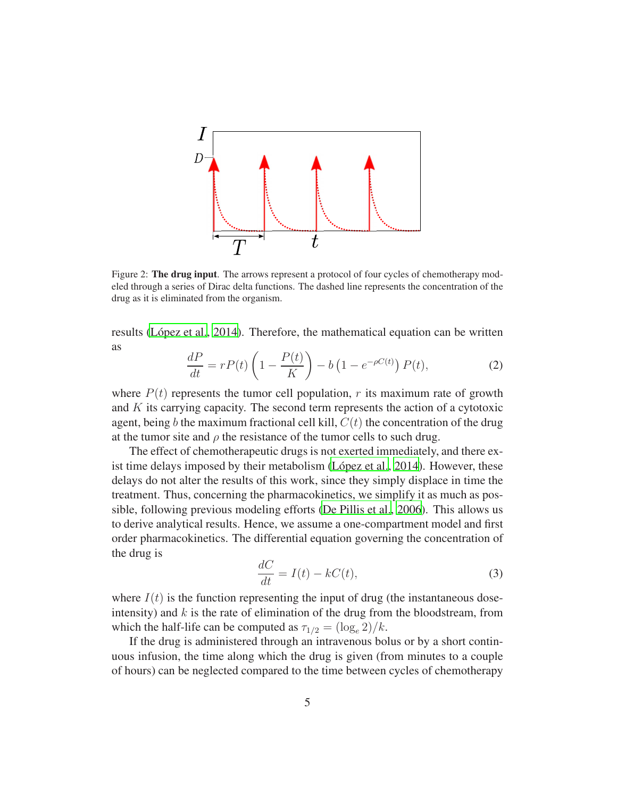

<span id="page-4-0"></span>Figure 2: The drug input. The arrows represent a protocol of four cycles of chemotherapy modeled through a series of Dirac delta functions. The dashed line represents the concentration of the drug as it is eliminated from the organism.

results (López et al., [2014\)](#page-20-9). Therefore, the mathematical equation can be written as

<span id="page-4-2"></span>
$$
\frac{dP}{dt} = rP(t)\left(1 - \frac{P(t)}{K}\right) - b\left(1 - e^{-\rho C(t)}\right)P(t),\tag{2}
$$

where  $P(t)$  represents the tumor cell population, r its maximum rate of growth and K its carrying capacity. The second term represents the action of a cytotoxic agent, being b the maximum fractional cell kill,  $C(t)$  the concentration of the drug at the tumor site and  $\rho$  the resistance of the tumor cells to such drug.

The effect of chemotherapeutic drugs is not exerted immediately, and there ex-ist time delays imposed by their metabolism (López et al., [2014\)](#page-20-9). However, these delays do not alter the results of this work, since they simply displace in time the treatment. Thus, concerning the pharmacokinetics, we simplify it as much as possible, following previous modeling efforts [\(De Pillis et al., 2006](#page-19-3)). This allows us to derive analytical results. Hence, we assume a one-compartment model and first order pharmacokinetics. The differential equation governing the concentration of the drug is

<span id="page-4-1"></span>
$$
\frac{dC}{dt} = I(t) - kC(t),\tag{3}
$$

where  $I(t)$  is the function representing the input of drug (the instantaneous doseintensity) and  $k$  is the rate of elimination of the drug from the bloodstream, from which the half-life can be computed as  $\tau_{1/2} = (\log_e 2)/k$ .

If the drug is administered through an intravenous bolus or by a short continuous infusion, the time along which the drug is given (from minutes to a couple of hours) can be neglected compared to the time between cycles of chemotherapy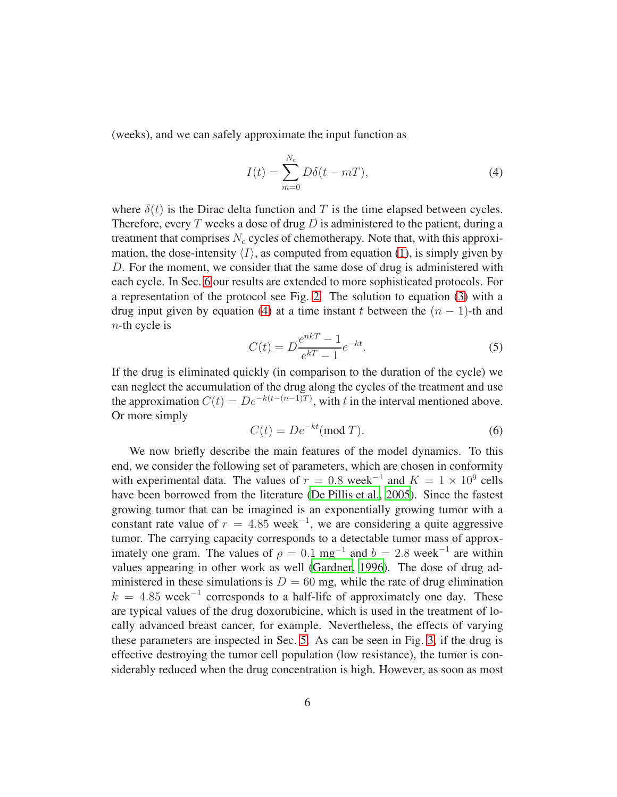(weeks), and we can safely approximate the input function as

<span id="page-5-0"></span>
$$
I(t) = \sum_{m=0}^{N_c} D\delta(t - mT),
$$
\n(4)

where  $\delta(t)$  is the Dirac delta function and T is the time elapsed between cycles. Therefore, every T weeks a dose of drug  $D$  is administered to the patient, during a treatment that comprises  $N_c$  cycles of chemotherapy. Note that, with this approximation, the dose-intensity  $\langle I \rangle$ , as computed from equation [\(1\)](#page-3-1), is simply given by D. For the moment, we consider that the same dose of drug is administered with each cycle. In Sec. [6](#page-13-0) our results are extended to more sophisticated protocols. For a representation of the protocol see Fig. [2.](#page-4-0) The solution to equation [\(3\)](#page-4-1) with a drug input given by equation [\(4\)](#page-5-0) at a time instant t between the  $(n - 1)$ -th and  $n$ -th cycle is

$$
C(t) = D \frac{e^{nkT} - 1}{e^{kT} - 1} e^{-kt}.
$$
\n(5)

If the drug is eliminated quickly (in comparison to the duration of the cycle) we can neglect the accumulation of the drug along the cycles of the treatment and use the approximation  $C(t) = De^{-k(t-(n-1)T)}$ , with t in the interval mentioned above. Or more simply

<span id="page-5-1"></span>
$$
C(t) = De^{-kt} \text{(mod } T). \tag{6}
$$

We now briefly describe the main features of the model dynamics. To this end, we consider the following set of parameters, which are chosen in conformity with experimental data. The values of  $r = 0.8$  week<sup>-1</sup> and  $K = 1 \times 10^9$  cells have been borrowed from the literature [\(De Pillis et al., 2005](#page-19-6)). Since the fastest growing tumor that can be imagined is an exponentially growing tumor with a constant rate value of  $r = 4.85$  week<sup>-1</sup>, we are considering a quite aggressive tumor. The carrying capacity corresponds to a detectable tumor mass of approximately one gram. The values of  $\rho = 0.1$  mg<sup>-1</sup> and  $b = 2.8$  week<sup>-1</sup> are within values appearing in other work as well [\(Gardner, 1996\)](#page-19-4). The dose of drug administered in these simulations is  $D = 60$  mg, while the rate of drug elimination  $k = 4.85$  week<sup>-1</sup> corresponds to a half-life of approximately one day. These are typical values of the drug doxorubicine, which is used in the treatment of locally advanced breast cancer, for example. Nevertheless, the effects of varying these parameters are inspected in Sec. [5.](#page-10-0) As can be seen in Fig. [3,](#page-6-0) if the drug is effective destroying the tumor cell population (low resistance), the tumor is considerably reduced when the drug concentration is high. However, as soon as most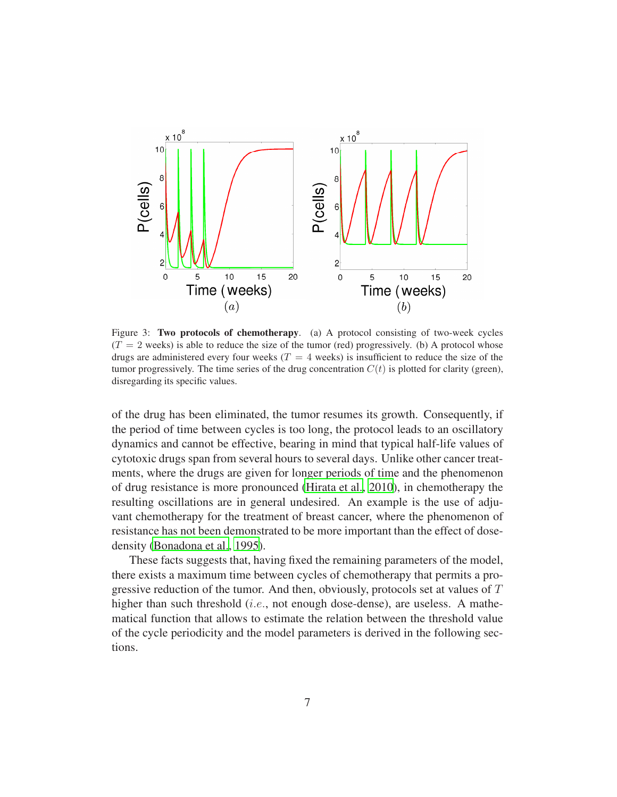

<span id="page-6-0"></span>Figure 3: Two protocols of chemotherapy. (a) A protocol consisting of two-week cycles  $(T = 2$  weeks) is able to reduce the size of the tumor (red) progressively. (b) A protocol whose drugs are administered every four weeks ( $T = 4$  weeks) is insufficient to reduce the size of the tumor progressively. The time series of the drug concentration  $C(t)$  is plotted for clarity (green), disregarding its specific values.

of the drug has been eliminated, the tumor resumes its growth. Consequently, if the period of time between cycles is too long, the protocol leads to an oscillatory dynamics and cannot be effective, bearing in mind that typical half-life values of cytotoxic drugs span from several hours to several days. Unlike other cancer treatments, where the drugs are given for longer periods of time and the phenomenon of drug resistance is more pronounced [\(Hirata et al., 2010](#page-19-7)), in chemotherapy the resulting oscillations are in general undesired. An example is the use of adjuvant chemotherapy for the treatment of breast cancer, where the phenomenon of resistance has not been demonstrated to be more important than the effect of dosedensity [\(Bonadona et al.](#page-18-1), [1995\)](#page-18-1).

These facts suggests that, having fixed the remaining parameters of the model, there exists a maximum time between cycles of chemotherapy that permits a progressive reduction of the tumor. And then, obviously, protocols set at values of T higher than such threshold (*i.e.*, not enough dose-dense), are useless. A mathematical function that allows to estimate the relation between the threshold value of the cycle periodicity and the model parameters is derived in the following sections.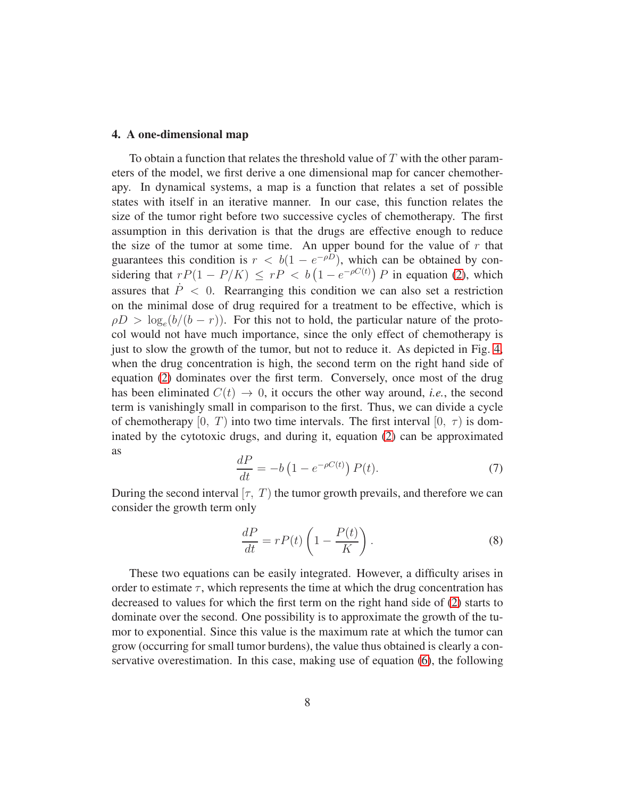#### <span id="page-7-2"></span>4. A one-dimensional map

To obtain a function that relates the threshold value of  $T$  with the other parameters of the model, we first derive a one dimensional map for cancer chemotherapy. In dynamical systems, a map is a function that relates a set of possible states with itself in an iterative manner. In our case, this function relates the size of the tumor right before two successive cycles of chemotherapy. The first assumption in this derivation is that the drugs are effective enough to reduce the size of the tumor at some time. An upper bound for the value of  $r$  that guarantees this condition is  $r < b(1 - e^{-\rho D})$ , which can be obtained by considering that  $rP(1 - P/K) \leq rP < b(1 - e^{-\rho C(t)}) P$  in equation [\(2\)](#page-4-2), which assures that  $\dot{P} < 0$ . Rearranging this condition we can also set a restriction on the minimal dose of drug required for a treatment to be effective, which is  $\rho D > \log_e(b/(b - r))$ . For this not to hold, the particular nature of the protocol would not have much importance, since the only effect of chemotherapy is just to slow the growth of the tumor, but not to reduce it. As depicted in Fig. [4,](#page-8-0) when the drug concentration is high, the second term on the right hand side of equation [\(2\)](#page-4-2) dominates over the first term. Conversely, once most of the drug has been eliminated  $C(t) \rightarrow 0$ , it occurs the other way around, *i.e.*, the second term is vanishingly small in comparison to the first. Thus, we can divide a cycle of chemotherapy  $[0, T)$  into two time intervals. The first interval  $[0, \tau)$  is dominated by the cytotoxic drugs, and during it, equation [\(2\)](#page-4-2) can be approximated as

<span id="page-7-0"></span>
$$
\frac{dP}{dt} = -b\left(1 - e^{-\rho C(t)}\right)P(t). \tag{7}
$$

During the second interval  $[\tau, T]$  the tumor growth prevails, and therefore we can consider the growth term only

<span id="page-7-1"></span>
$$
\frac{dP}{dt} = rP(t)\left(1 - \frac{P(t)}{K}\right). \tag{8}
$$

These two equations can be easily integrated. However, a difficulty arises in order to estimate  $\tau$ , which represents the time at which the drug concentration has decreased to values for which the first term on the right hand side of [\(2\)](#page-4-2) starts to dominate over the second. One possibility is to approximate the growth of the tumor to exponential. Since this value is the maximum rate at which the tumor can grow (occurring for small tumor burdens), the value thus obtained is clearly a conservative overestimation. In this case, making use of equation [\(6\)](#page-5-1), the following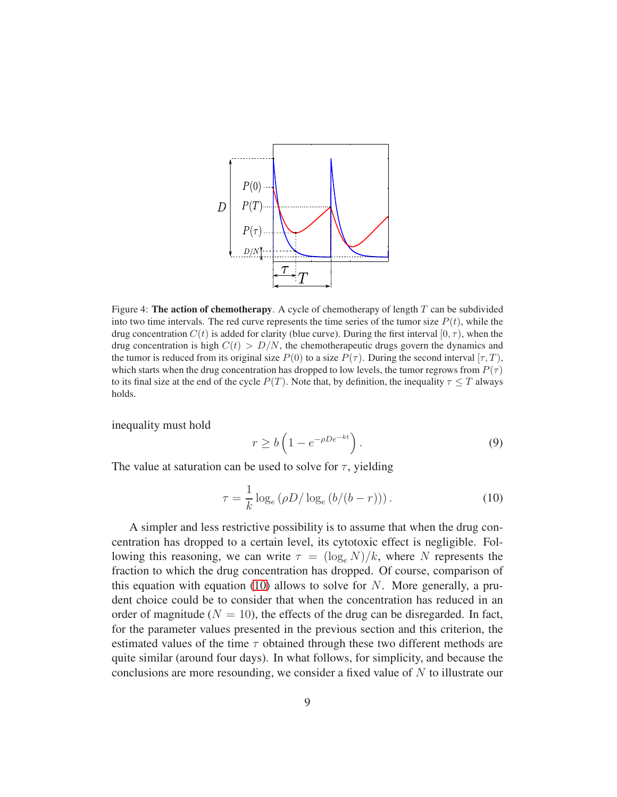

<span id="page-8-0"></span>Figure 4: The action of chemotherapy. A cycle of chemotherapy of length  $T$  can be subdivided into two time intervals. The red curve represents the time series of the tumor size  $P(t)$ , while the drug concentration  $C(t)$  is added for clarity (blue curve). During the first interval  $[0, \tau)$ , when the drug concentration is high  $C(t) > D/N$ , the chemotherapeutic drugs govern the dynamics and the tumor is reduced from its original size  $P(0)$  to a size  $P(\tau)$ . During the second interval  $[\tau, T)$ , which starts when the drug concentration has dropped to low levels, the tumor regrows from  $P(\tau)$ to its final size at the end of the cycle  $P(T)$ . Note that, by definition, the inequality  $\tau \leq T$  always holds.

inequality must hold

$$
r \ge b \left( 1 - e^{-\rho D e^{-kt}} \right). \tag{9}
$$

The value at saturation can be used to solve for  $\tau$ , yielding

<span id="page-8-1"></span>
$$
\tau = \frac{1}{k} \log_e (\rho D / \log_e (b/(b-r))). \tag{10}
$$

A simpler and less restrictive possibility is to assume that when the drug concentration has dropped to a certain level, its cytotoxic effect is negligible. Following this reasoning, we can write  $\tau = (\log_e N)/k$ , where N represents the fraction to which the drug concentration has dropped. Of course, comparison of this equation with equation [\(10\)](#page-8-1) allows to solve for  $N$ . More generally, a prudent choice could be to consider that when the concentration has reduced in an order of magnitude ( $N = 10$ ), the effects of the drug can be disregarded. In fact, for the parameter values presented in the previous section and this criterion, the estimated values of the time  $\tau$  obtained through these two different methods are quite similar (around four days). In what follows, for simplicity, and because the conclusions are more resounding, we consider a fixed value of N to illustrate our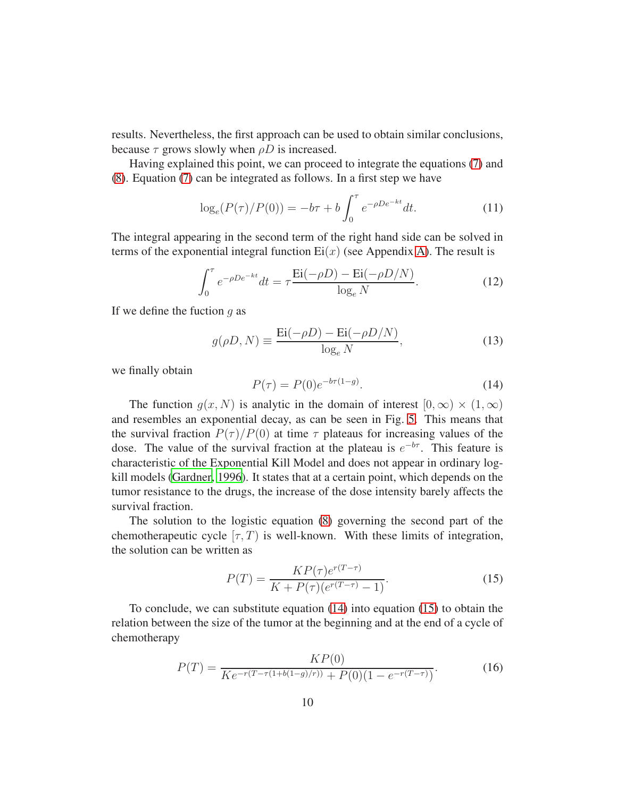results. Nevertheless, the first approach can be used to obtain similar conclusions, because  $\tau$  grows slowly when  $\rho D$  is increased.

Having explained this point, we can proceed to integrate the equations [\(7\)](#page-7-0) and [\(8\)](#page-7-1). Equation [\(7\)](#page-7-0) can be integrated as follows. In a first step we have

$$
\log_e(P(\tau)/P(0)) = -b\tau + b \int_0^{\tau} e^{-\rho D e^{-kt}} dt.
$$
 (11)

The integral appearing in the second term of the right hand side can be solved in terms of the exponential integral function  $Ei(x)$  (see Appendix A). The result is

$$
\int_0^{\tau} e^{-\rho D e^{-kt}} dt = \tau \frac{\text{Ei}(-\rho D) - \text{Ei}(-\rho D/N)}{\log_e N}.
$$
 (12)

If we define the fuction  $q$  as

$$
g(\rho D, N) \equiv \frac{\operatorname{Ei}(-\rho D) - \operatorname{Ei}(-\rho D/N)}{\log_e N},\tag{13}
$$

we finally obtain

<span id="page-9-0"></span>
$$
P(\tau) = P(0)e^{-b\tau(1-g)}.
$$
\n(14)

The function  $q(x, N)$  is analytic in the domain of interest  $[0, \infty) \times (1, \infty)$ and resembles an exponential decay, as can be seen in Fig. [5.](#page-10-1) This means that the survival fraction  $P(\tau)/P(0)$  at time  $\tau$  plateaus for increasing values of the dose. The value of the survival fraction at the plateau is  $e^{-b\tau}$ . This feature is characteristic of the Exponential Kill Model and does not appear in ordinary logkill models [\(Gardner](#page-19-4), [1996\)](#page-19-4). It states that at a certain point, which depends on the tumor resistance to the drugs, the increase of the dose intensity barely affects the survival fraction.

The solution to the logistic equation [\(8\)](#page-7-1) governing the second part of the chemotherapeutic cycle  $[\tau, T)$  is well-known. With these limits of integration, the solution can be written as

<span id="page-9-1"></span>
$$
P(T) = \frac{KP(\tau)e^{r(T-\tau)}}{K + P(\tau)(e^{r(T-\tau)} - 1)}.
$$
\n(15)

To conclude, we can substitute equation [\(14\)](#page-9-0) into equation [\(15\)](#page-9-1) to obtain the relation between the size of the tumor at the beginning and at the end of a cycle of chemotherapy

$$
P(T) = \frac{KP(0)}{Ke^{-r(T-\tau(1+b(1-g)/r))} + P(0)(1 - e^{-r(T-\tau)})}.
$$
\n(16)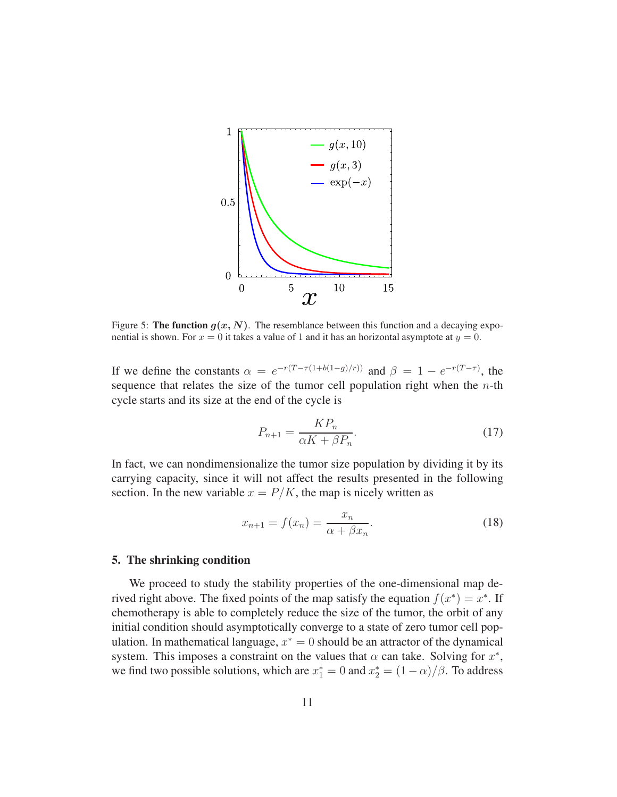

<span id="page-10-1"></span>Figure 5: The function  $g(x, N)$ . The resemblance between this function and a decaying exponential is shown. For  $x = 0$  it takes a value of 1 and it has an horizontal asymptote at  $y = 0$ .

If we define the constants  $\alpha = e^{-r(T-\tau(1+b(1-g)/r))}$  and  $\beta = 1 - e^{-r(T-\tau)}$ , the sequence that relates the size of the tumor cell population right when the  $n$ -th cycle starts and its size at the end of the cycle is

$$
P_{n+1} = \frac{KP_n}{\alpha K + \beta P_n}.\tag{17}
$$

In fact, we can nondimensionalize the tumor size population by dividing it by its carrying capacity, since it will not affect the results presented in the following section. In the new variable  $x = P/K$ , the map is nicely written as

<span id="page-10-2"></span>
$$
x_{n+1} = f(x_n) = \frac{x_n}{\alpha + \beta x_n}.\tag{18}
$$

#### <span id="page-10-0"></span>5. The shrinking condition

We proceed to study the stability properties of the one-dimensional map derived right above. The fixed points of the map satisfy the equation  $f(x^*) = x^*$ . If chemotherapy is able to completely reduce the size of the tumor, the orbit of any initial condition should asymptotically converge to a state of zero tumor cell population. In mathematical language,  $x^* = 0$  should be an attractor of the dynamical system. This imposes a constraint on the values that  $\alpha$  can take. Solving for  $x^*$ , we find two possible solutions, which are  $x_1^* = 0$  and  $x_2^* = (1 - \alpha)/\beta$ . To address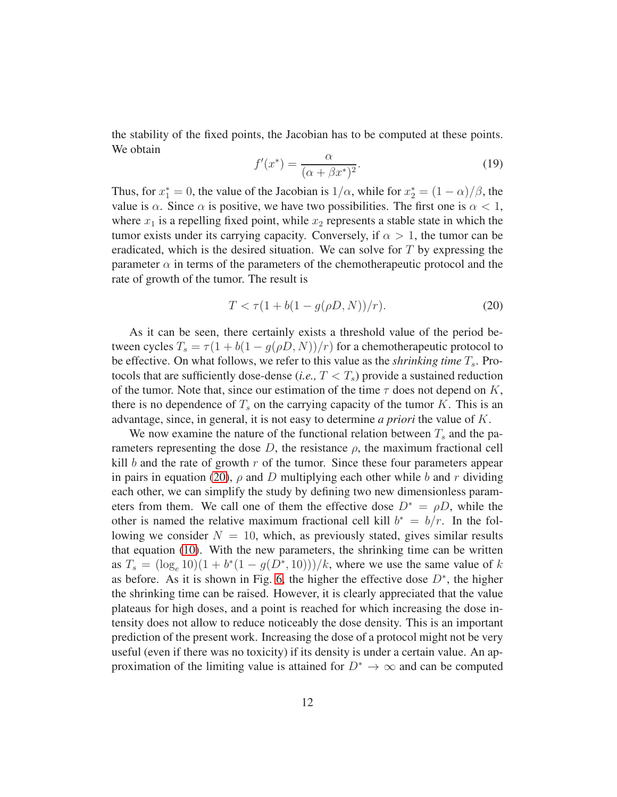the stability of the fixed points, the Jacobian has to be computed at these points. We obtain

$$
f'(x^*) = \frac{\alpha}{(\alpha + \beta x^*)^2}.\tag{19}
$$

Thus, for  $x_1^* = 0$ , the value of the Jacobian is  $1/\alpha$ , while for  $x_2^* = (1 - \alpha)/\beta$ , the value is  $\alpha$ . Since  $\alpha$  is positive, we have two possibilities. The first one is  $\alpha < 1$ , where  $x_1$  is a repelling fixed point, while  $x_2$  represents a stable state in which the tumor exists under its carrying capacity. Conversely, if  $\alpha > 1$ , the tumor can be eradicated, which is the desired situation. We can solve for  $T$  by expressing the parameter  $\alpha$  in terms of the parameters of the chemotherapeutic protocol and the rate of growth of the tumor. The result is

<span id="page-11-0"></span>
$$
T < \tau (1 + b(1 - g(\rho D, N))/r). \tag{20}
$$

As it can be seen, there certainly exists a threshold value of the period between cycles  $T_s = \tau (1 + b(1 - g(\rho D, N))/r)$  for a chemotherapeutic protocol to be effective. On what follows, we refer to this value as the *shrinking time*  $T_s$ . Protocols that are sufficiently dose-dense (*i.e.*,  $T < T_s$ ) provide a sustained reduction of the tumor. Note that, since our estimation of the time  $\tau$  does not depend on K, there is no dependence of  $T_s$  on the carrying capacity of the tumor K. This is an advantage, since, in general, it is not easy to determine *a priori* the value of K.

We now examine the nature of the functional relation between  $T_s$  and the parameters representing the dose D, the resistance  $\rho$ , the maximum fractional cell kill  $b$  and the rate of growth  $r$  of the tumor. Since these four parameters appear in pairs in equation [\(20\)](#page-11-0),  $\rho$  and D multiplying each other while b and r dividing each other, we can simplify the study by defining two new dimensionless parameters from them. We call one of them the effective dose  $D^* = \rho D$ , while the other is named the relative maximum fractional cell kill  $b^* = b/r$ . In the following we consider  $N = 10$ , which, as previously stated, gives similar results that equation [\(10\)](#page-8-1). With the new parameters, the shrinking time can be written as  $T_s = (\log_e 10)(1 + b^*(1 - g(D^*, 10)))/k$ , where we use the same value of k as before. As it is shown in Fig. [6,](#page-12-0) the higher the effective dose  $D^*$ , the higher the shrinking time can be raised. However, it is clearly appreciated that the value plateaus for high doses, and a point is reached for which increasing the dose intensity does not allow to reduce noticeably the dose density. This is an important prediction of the present work. Increasing the dose of a protocol might not be very useful (even if there was no toxicity) if its density is under a certain value. An approximation of the limiting value is attained for  $D^* \to \infty$  and can be computed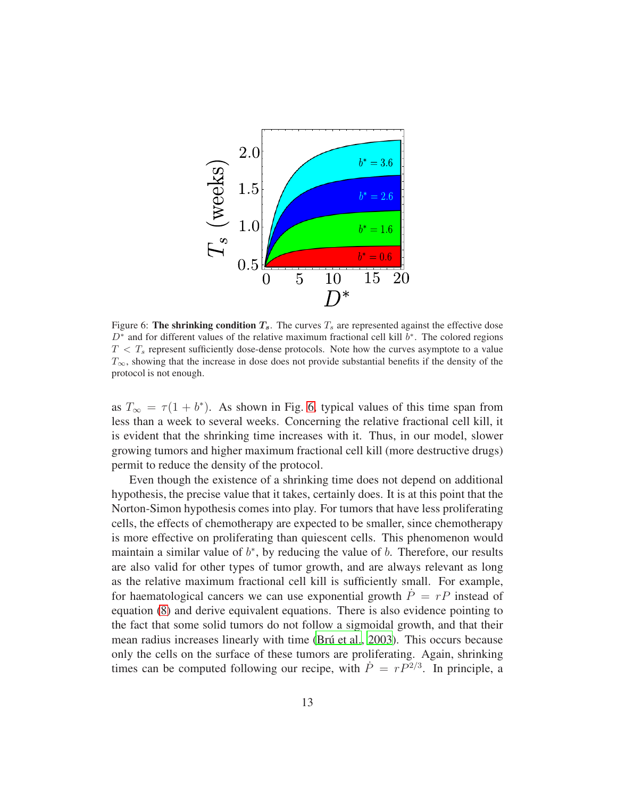

<span id="page-12-0"></span>Figure 6: The shrinking condition  $T_s$ . The curves  $T_s$  are represented against the effective dose  $D^*$  and for different values of the relative maximum fractional cell kill  $b^*$ . The colored regions  $T < T_s$  represent sufficiently dose-dense protocols. Note how the curves asymptote to a value  $T_{\infty}$ , showing that the increase in dose does not provide substantial benefits if the density of the protocol is not enough.

as  $T_{\infty} = \tau (1 + b^*)$ . As shown in Fig. [6,](#page-12-0) typical values of this time span from less than a week to several weeks. Concerning the relative fractional cell kill, it is evident that the shrinking time increases with it. Thus, in our model, slower growing tumors and higher maximum fractional cell kill (more destructive drugs) permit to reduce the density of the protocol.

Even though the existence of a shrinking time does not depend on additional hypothesis, the precise value that it takes, certainly does. It is at this point that the Norton-Simon hypothesis comes into play. For tumors that have less proliferating cells, the effects of chemotherapy are expected to be smaller, since chemotherapy is more effective on proliferating than quiescent cells. This phenomenon would maintain a similar value of  $b^*$ , by reducing the value of  $b$ . Therefore, our results are also valid for other types of tumor growth, and are always relevant as long as the relative maximum fractional cell kill is sufficiently small. For example, for haematological cancers we can use exponential growth  $P = rP$  instead of equation [\(8\)](#page-7-1) and derive equivalent equations. There is also evidence pointing to the fact that some solid tumors do not follow a sigmoidal growth, and that their mean radius increases linearly with time (Brú et al., 2003). This occurs because only the cells on the surface of these tumors are proliferating. Again, shrinking times can be computed following our recipe, with  $\dot{P} = rP^{2/3}$ . In principle, a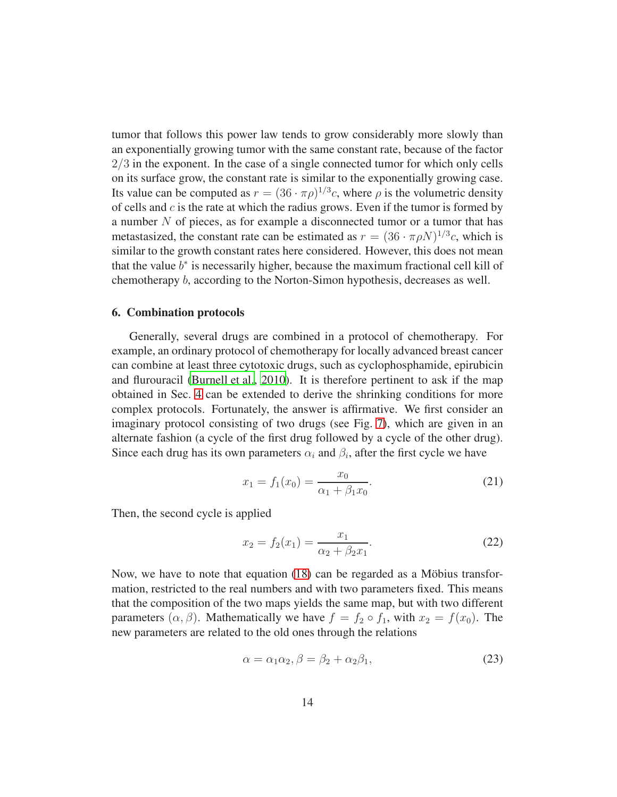tumor that follows this power law tends to grow considerably more slowly than an exponentially growing tumor with the same constant rate, because of the factor  $2/3$  in the exponent. In the case of a single connected tumor for which only cells on its surface grow, the constant rate is similar to the exponentially growing case. Its value can be computed as  $r = (36 \cdot \pi \rho)^{1/3}c$ , where  $\rho$  is the volumetric density of cells and  $c$  is the rate at which the radius grows. Even if the tumor is formed by a number  $N$  of pieces, as for example a disconnected tumor or a tumor that has metastasized, the constant rate can be estimated as  $r = (36 \cdot \pi \rho N)^{1/3}c$ , which is similar to the growth constant rates here considered. However, this does not mean that the value  $b^*$  is necessarily higher, because the maximum fractional cell kill of chemotherapy b, according to the Norton-Simon hypothesis, decreases as well.

#### <span id="page-13-0"></span>6. Combination protocols

Generally, several drugs are combined in a protocol of chemotherapy. For example, an ordinary protocol of chemotherapy for locally advanced breast cancer can combine at least three cytotoxic drugs, such as cyclophosphamide, epirubicin and flurouracil [\(Burnell et al.](#page-18-3), [2010](#page-18-3)). It is therefore pertinent to ask if the map obtained in Sec. [4](#page-7-2) can be extended to derive the shrinking conditions for more complex protocols. Fortunately, the answer is affirmative. We first consider an imaginary protocol consisting of two drugs (see Fig. [7\)](#page-15-0), which are given in an alternate fashion (a cycle of the first drug followed by a cycle of the other drug). Since each drug has its own parameters  $\alpha_i$  and  $\beta_i$ , after the first cycle we have

$$
x_1 = f_1(x_0) = \frac{x_0}{\alpha_1 + \beta_1 x_0}.\tag{21}
$$

Then, the second cycle is applied

$$
x_2 = f_2(x_1) = \frac{x_1}{\alpha_2 + \beta_2 x_1}.
$$
 (22)

Now, we have to note that equation  $(18)$  can be regarded as a Möbius transformation, restricted to the real numbers and with two parameters fixed. This means that the composition of the two maps yields the same map, but with two different parameters  $(\alpha, \beta)$ . Mathematically we have  $f = f_2 \circ f_1$ , with  $x_2 = f(x_0)$ . The new parameters are related to the old ones through the relations

$$
\alpha = \alpha_1 \alpha_2, \beta = \beta_2 + \alpha_2 \beta_1,\tag{23}
$$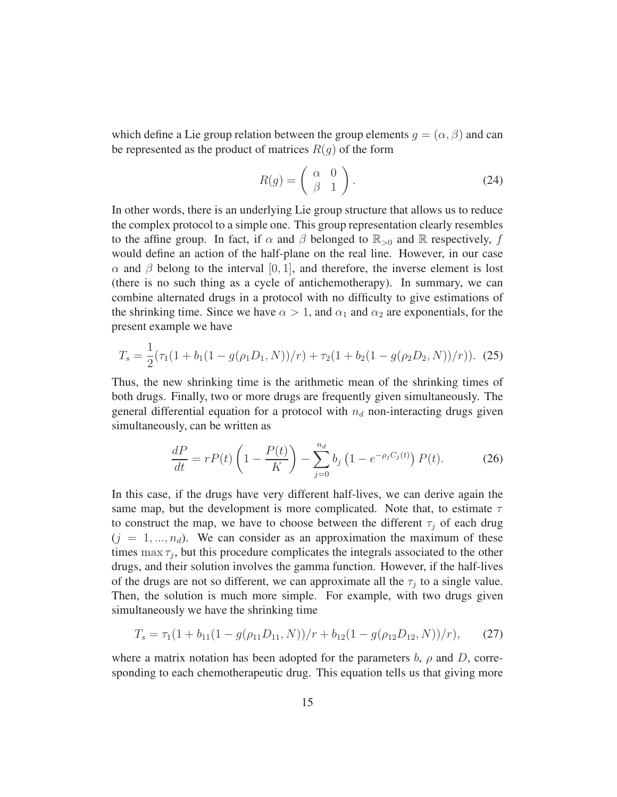which define a Lie group relation between the group elements  $g = (\alpha, \beta)$  and can be represented as the product of matrices  $R(g)$  of the form

$$
R(g) = \left(\begin{array}{cc} \alpha & 0\\ \beta & 1 \end{array}\right). \tag{24}
$$

In other words, there is an underlying Lie group structure that allows us to reduce the complex protocol to a simple one. This group representation clearly resembles to the affine group. In fact, if  $\alpha$  and  $\beta$  belonged to  $\mathbb{R}_{>0}$  and  $\mathbb R$  respectively, f would define an action of the half-plane on the real line. However, in our case  $\alpha$  and  $\beta$  belong to the interval [0, 1], and therefore, the inverse element is lost (there is no such thing as a cycle of antichemotherapy). In summary, we can combine alternated drugs in a protocol with no difficulty to give estimations of the shrinking time. Since we have  $\alpha > 1$ , and  $\alpha_1$  and  $\alpha_2$  are exponentials, for the present example we have

$$
T_s = \frac{1}{2} (\tau_1 (1 + b_1 (1 - g(\rho_1 D_1, N))/r) + \tau_2 (1 + b_2 (1 - g(\rho_2 D_2, N))/r)).
$$
 (25)

Thus, the new shrinking time is the arithmetic mean of the shrinking times of both drugs. Finally, two or more drugs are frequently given simultaneously. The general differential equation for a protocol with  $n_d$  non-interacting drugs given simultaneously, can be written as

$$
\frac{dP}{dt} = rP(t)\left(1 - \frac{P(t)}{K}\right) - \sum_{j=0}^{n_d} b_j \left(1 - e^{-\rho_j C_j(t)}\right) P(t).
$$
 (26)

In this case, if the drugs have very different half-lives, we can derive again the same map, but the development is more complicated. Note that, to estimate  $\tau$ to construct the map, we have to choose between the different  $\tau_i$  of each drug  $(j = 1, ..., n_d)$ . We can consider as an approximation the maximum of these times  $\max \tau_j$ , but this procedure complicates the integrals associated to the other drugs, and their solution involves the gamma function. However, if the half-lives of the drugs are not so different, we can approximate all the  $\tau_j$  to a single value. Then, the solution is much more simple. For example, with two drugs given simultaneously we have the shrinking time

$$
T_s = \tau_1 (1 + b_{11}(1 - g(\rho_{11}D_{11}, N))/r + b_{12}(1 - g(\rho_{12}D_{12}, N))/r), \qquad (27)
$$

where a matrix notation has been adopted for the parameters b,  $\rho$  and D, corresponding to each chemotherapeutic drug. This equation tells us that giving more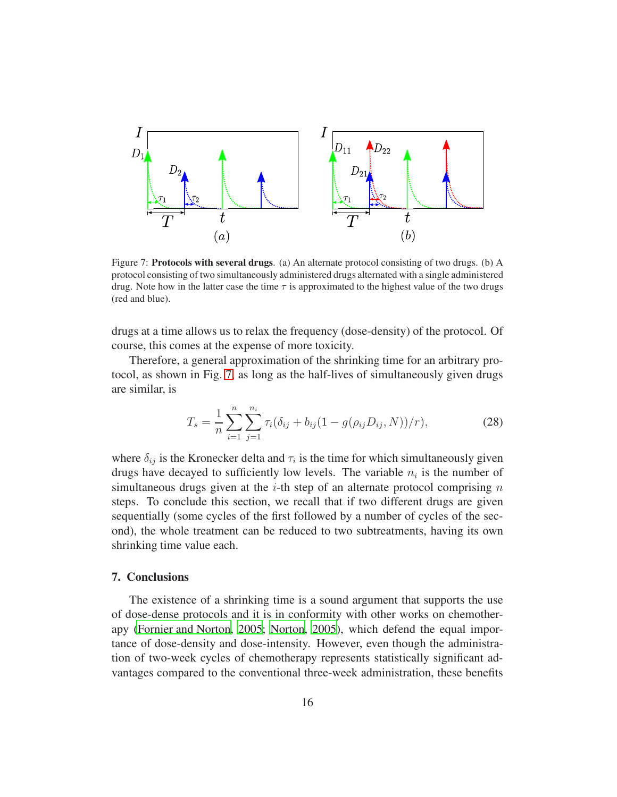

<span id="page-15-0"></span>Figure 7: Protocols with several drugs. (a) An alternate protocol consisting of two drugs. (b) A protocol consisting of two simultaneously administered drugs alternated with a single administered drug. Note how in the latter case the time  $\tau$  is approximated to the highest value of the two drugs (red and blue).

drugs at a time allows us to relax the frequency (dose-density) of the protocol. Of course, this comes at the expense of more toxicity.

Therefore, a general approximation of the shrinking time for an arbitrary protocol, as shown in Fig. [7,](#page-15-0) as long as the half-lives of simultaneously given drugs are similar, is

$$
T_s = \frac{1}{n} \sum_{i=1}^n \sum_{j=1}^{n_i} \tau_i (\delta_{ij} + b_{ij} (1 - g(\rho_{ij} D_{ij}, N))/r), \qquad (28)
$$

where  $\delta_{ij}$  is the Kronecker delta and  $\tau_i$  is the time for which simultaneously given drugs have decayed to sufficiently low levels. The variable  $n_i$  is the number of simultaneous drugs given at the *i*-th step of an alternate protocol comprising  $n$ steps. To conclude this section, we recall that if two different drugs are given sequentially (some cycles of the first followed by a number of cycles of the second), the whole treatment can be reduced to two subtreatments, having its own shrinking time value each.

## 7. Conclusions

The existence of a shrinking time is a sound argument that supports the use of dose-dense protocols and it is in conformity with other works on chemotherapy [\(Fornier and Norton, 2005;](#page-19-5) [Norton](#page-20-10), [2005\)](#page-20-10), which defend the equal importance of dose-density and dose-intensity. However, even though the administration of two-week cycles of chemotherapy represents statistically significant advantages compared to the conventional three-week administration, these benefits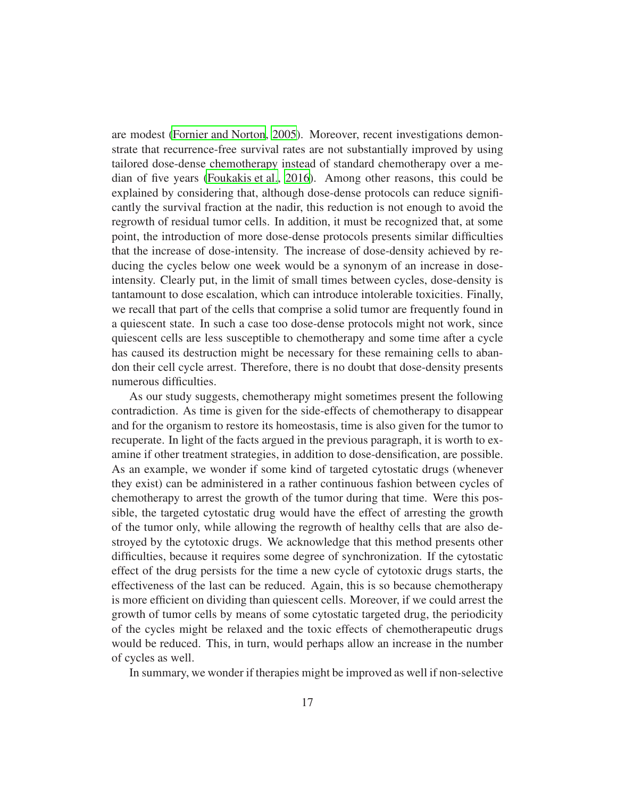are modest [\(Fornier and Norton, 2005](#page-19-5)). Moreover, recent investigations demonstrate that recurrence-free survival rates are not substantially improved by using tailored dose-dense chemotherapy instead of standard chemotherapy over a median of five years [\(Foukakis et al., 2016](#page-19-2)). Among other reasons, this could be explained by considering that, although dose-dense protocols can reduce significantly the survival fraction at the nadir, this reduction is not enough to avoid the regrowth of residual tumor cells. In addition, it must be recognized that, at some point, the introduction of more dose-dense protocols presents similar difficulties that the increase of dose-intensity. The increase of dose-density achieved by reducing the cycles below one week would be a synonym of an increase in doseintensity. Clearly put, in the limit of small times between cycles, dose-density is tantamount to dose escalation, which can introduce intolerable toxicities. Finally, we recall that part of the cells that comprise a solid tumor are frequently found in a quiescent state. In such a case too dose-dense protocols might not work, since quiescent cells are less susceptible to chemotherapy and some time after a cycle has caused its destruction might be necessary for these remaining cells to abandon their cell cycle arrest. Therefore, there is no doubt that dose-density presents numerous difficulties.

As our study suggests, chemotherapy might sometimes present the following contradiction. As time is given for the side-effects of chemotherapy to disappear and for the organism to restore its homeostasis, time is also given for the tumor to recuperate. In light of the facts argued in the previous paragraph, it is worth to examine if other treatment strategies, in addition to dose-densification, are possible. As an example, we wonder if some kind of targeted cytostatic drugs (whenever they exist) can be administered in a rather continuous fashion between cycles of chemotherapy to arrest the growth of the tumor during that time. Were this possible, the targeted cytostatic drug would have the effect of arresting the growth of the tumor only, while allowing the regrowth of healthy cells that are also destroyed by the cytotoxic drugs. We acknowledge that this method presents other difficulties, because it requires some degree of synchronization. If the cytostatic effect of the drug persists for the time a new cycle of cytotoxic drugs starts, the effectiveness of the last can be reduced. Again, this is so because chemotherapy is more efficient on dividing than quiescent cells. Moreover, if we could arrest the growth of tumor cells by means of some cytostatic targeted drug, the periodicity of the cycles might be relaxed and the toxic effects of chemotherapeutic drugs would be reduced. This, in turn, would perhaps allow an increase in the number of cycles as well.

In summary, we wonder if therapies might be improved as well if non-selective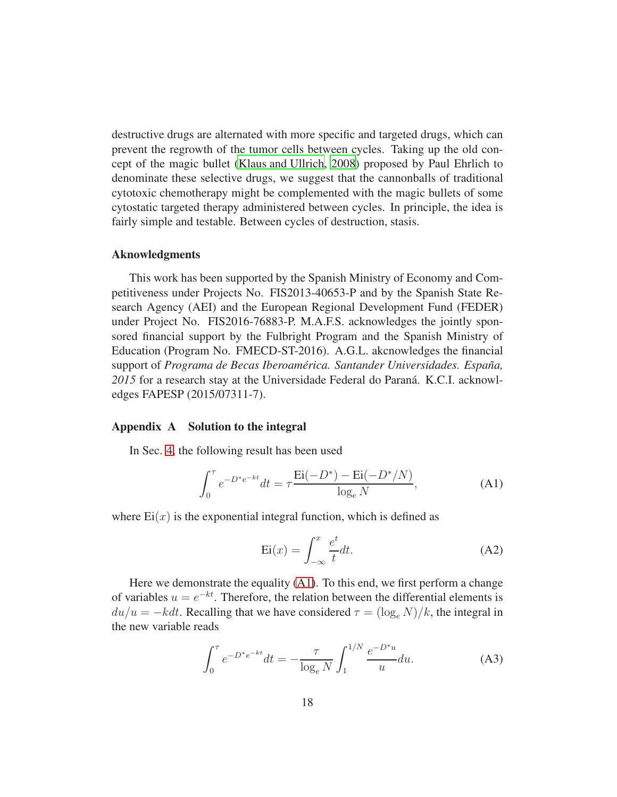destructive drugs are alternated with more specific and targeted drugs, which can prevent the regrowth of the tumor cells between cycles. Taking up the old concept of the magic bullet [\(Klaus and Ullrich, 2008\)](#page-20-11) proposed by Paul Ehrlich to denominate these selective drugs, we suggest that the cannonballs of traditional cytotoxic chemotherapy might be complemented with the magic bullets of some cytostatic targeted therapy administered between cycles. In principle, the idea is fairly simple and testable. Between cycles of destruction, stasis.

## Aknowledgments

This work has been supported by the Spanish Ministry of Economy and Competitiveness under Projects No. FIS2013-40653-P and by the Spanish State Research Agency (AEI) and the European Regional Development Fund (FEDER) under Project No. FIS2016-76883-P. M.A.F.S. acknowledges the jointly sponsored financial support by the Fulbright Program and the Spanish Ministry of Education (Program No. FMECD-ST-2016). A.G.L. akcnowledges the financial support of *Programa de Becas Iberoamérica. Santander Universidades. España,* 2015 for a research stay at the Universidade Federal do Paraná. K.C.I. acknowledges FAPESP (2015/07311-7).

#### Appendix A Solution to the integral

In Sec. [4,](#page-7-2) the following result has been used

<span id="page-17-0"></span>
$$
\int_0^{\tau} e^{-D^* e^{-kt}} dt = \tau \frac{\text{Ei}(-D^*) - \text{Ei}(-D^*/N)}{\log_e N},
$$
 (A1)

where  $Ei(x)$  is the exponential integral function, which is defined as

$$
Ei(x) = \int_{-\infty}^{x} \frac{e^t}{t} dt.
$$
 (A2)

Here we demonstrate the equality [\(A1\)](#page-17-0). To this end, we first perform a change of variables  $u = e^{-kt}$ . Therefore, the relation between the differential elements is  $du/u = -kdt$ . Recalling that we have considered  $\tau = (\log_e N)/k$ , the integral in the new variable reads

$$
\int_0^{\tau} e^{-D^* e^{-kt}} dt = -\frac{\tau}{\log_e N} \int_1^{1/N} \frac{e^{-D^* u}}{u} du.
$$
 (A3)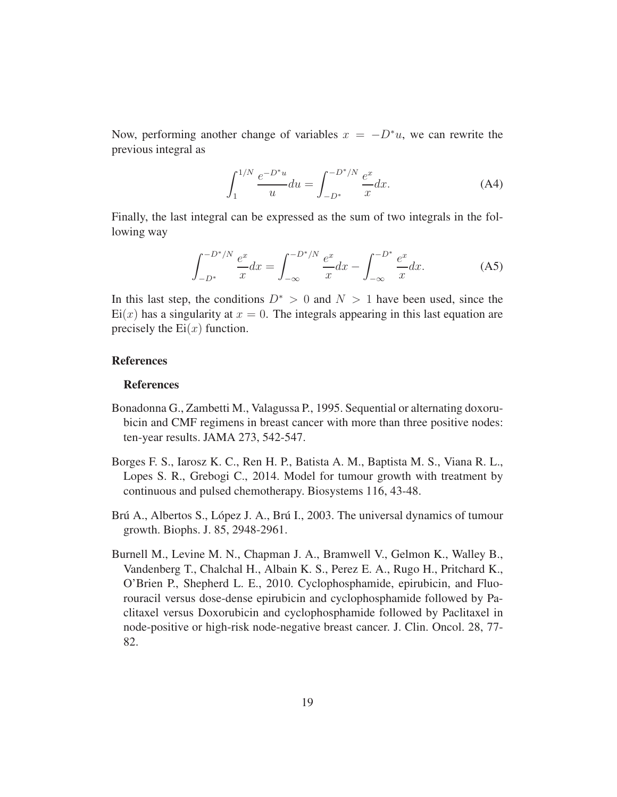Now, performing another change of variables  $x = -D^*u$ , we can rewrite the previous integral as

$$
\int_{1}^{1/N} \frac{e^{-D^*u}}{u} du = \int_{-D^*}^{-D^*/N} \frac{e^x}{x} dx.
$$
 (A4)

Finally, the last integral can be expressed as the sum of two integrals in the following way

$$
\int_{-D^*}^{-D^*/N} \frac{e^x}{x} dx = \int_{-\infty}^{-D^*/N} \frac{e^x}{x} dx - \int_{-\infty}^{-D^*} \frac{e^x}{x} dx.
$$
 (A5)

In this last step, the conditions  $D^* > 0$  and  $N > 1$  have been used, since the  $Ei(x)$  has a singularity at  $x = 0$ . The integrals appearing in this last equation are precisely the  $Ei(x)$  function.

#### References

#### References

- <span id="page-18-1"></span>Bonadonna G., Zambetti M., Valagussa P., 1995. Sequential or alternating doxorubicin and CMF regimens in breast cancer with more than three positive nodes: ten-year results. JAMA 273, 542-547.
- <span id="page-18-0"></span>Borges F. S., Iarosz K. C., Ren H. P., Batista A. M., Baptista M. S., Viana R. L., Lopes S. R., Grebogi C., 2014. Model for tumour growth with treatment by continuous and pulsed chemotherapy. Biosystems 116, 43-48.
- <span id="page-18-2"></span>Brú A., Albertos S., López J. A., Brú I., 2003. The universal dynamics of tumour growth. Biophs. J. 85, 2948-2961.
- <span id="page-18-3"></span>Burnell M., Levine M. N., Chapman J. A., Bramwell V., Gelmon K., Walley B., Vandenberg T., Chalchal H., Albain K. S., Perez E. A., Rugo H., Pritchard K., O'Brien P., Shepherd L. E., 2010. Cyclophosphamide, epirubicin, and Fluorouracil versus dose-dense epirubicin and cyclophosphamide followed by Paclitaxel versus Doxorubicin and cyclophosphamide followed by Paclitaxel in node-positive or high-risk node-negative breast cancer. J. Clin. Oncol. 28, 77- 82.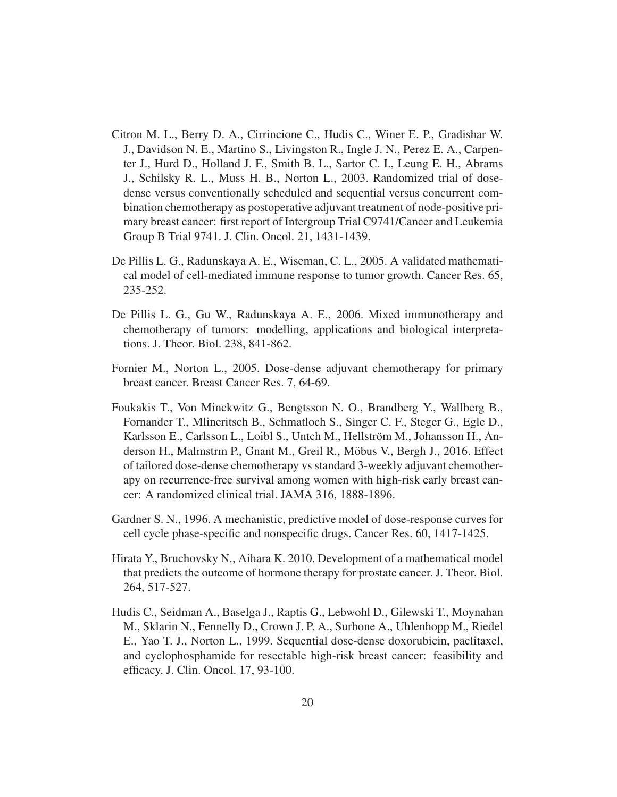- <span id="page-19-1"></span>Citron M. L., Berry D. A., Cirrincione C., Hudis C., Winer E. P., Gradishar W. J., Davidson N. E., Martino S., Livingston R., Ingle J. N., Perez E. A., Carpenter J., Hurd D., Holland J. F., Smith B. L., Sartor C. I., Leung E. H., Abrams J., Schilsky R. L., Muss H. B., Norton L., 2003. Randomized trial of dosedense versus conventionally scheduled and sequential versus concurrent combination chemotherapy as postoperative adjuvant treatment of node-positive primary breast cancer: first report of Intergroup Trial C9741/Cancer and Leukemia Group B Trial 9741. J. Clin. Oncol. 21, 1431-1439.
- <span id="page-19-6"></span>De Pillis L. G., Radunskaya A. E., Wiseman, C. L., 2005. A validated mathematical model of cell-mediated immune response to tumor growth. Cancer Res. 65, 235-252.
- <span id="page-19-3"></span>De Pillis L. G., Gu W., Radunskaya A. E., 2006. Mixed immunotherapy and chemotherapy of tumors: modelling, applications and biological interpretations. J. Theor. Biol. 238, 841-862.
- <span id="page-19-5"></span>Fornier M., Norton L., 2005. Dose-dense adjuvant chemotherapy for primary breast cancer. Breast Cancer Res. 7, 64-69.
- <span id="page-19-2"></span>Foukakis T., Von Minckwitz G., Bengtsson N. O., Brandberg Y., Wallberg B., Fornander T., Mlineritsch B., Schmatloch S., Singer C. F., Steger G., Egle D., Karlsson E., Carlsson L., Loibl S., Untch M., Hellström M., Johansson H., Anderson H., Malmstrm P., Gnant M., Greil R., Möbus V., Bergh J., 2016. Effect of tailored dose-dense chemotherapy vs standard 3-weekly adjuvant chemotherapy on recurrence-free survival among women with high-risk early breast cancer: A randomized clinical trial. JAMA 316, 1888-1896.
- <span id="page-19-4"></span>Gardner S. N., 1996. A mechanistic, predictive model of dose-response curves for cell cycle phase-specific and nonspecific drugs. Cancer Res. 60, 1417-1425.
- <span id="page-19-7"></span>Hirata Y., Bruchovsky N., Aihara K. 2010. Development of a mathematical model that predicts the outcome of hormone therapy for prostate cancer. J. Theor. Biol. 264, 517-527.
- <span id="page-19-0"></span>Hudis C., Seidman A., Baselga J., Raptis G., Lebwohl D., Gilewski T., Moynahan M., Sklarin N., Fennelly D., Crown J. P. A., Surbone A., Uhlenhopp M., Riedel E., Yao T. J., Norton L., 1999. Sequential dose-dense doxorubicin, paclitaxel, and cyclophosphamide for resectable high-risk breast cancer: feasibility and efficacy. J. Clin. Oncol. 17, 93-100.